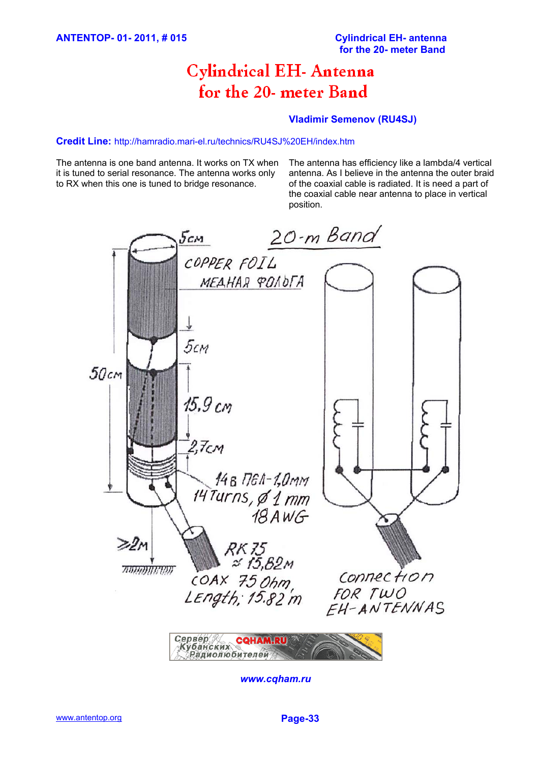# **Cylindrical EH- Antenna** for the 20- meter Band

## **Vladimir Semenov (RU4SJ)**

#### **Credit Line:** http://hamradio.mari-el.ru/technics/RU4SJ%20EH/index.htm

The antenna is one band antenna. It works on TX when it is tuned to serial resonance. The antenna works only to RX when this one is tuned to bridge resonance.

The antenna has efficiency like a lambda/4 vertical antenna. As I believe in the antenna the outer braid of the coaxial cable is radiated. It is need a part of the coaxial cable near antenna to place in vertical position.



Сервер Сервер<br>«Кубанских<br>«Дадиолюбителей»

*www.cqham.ru*